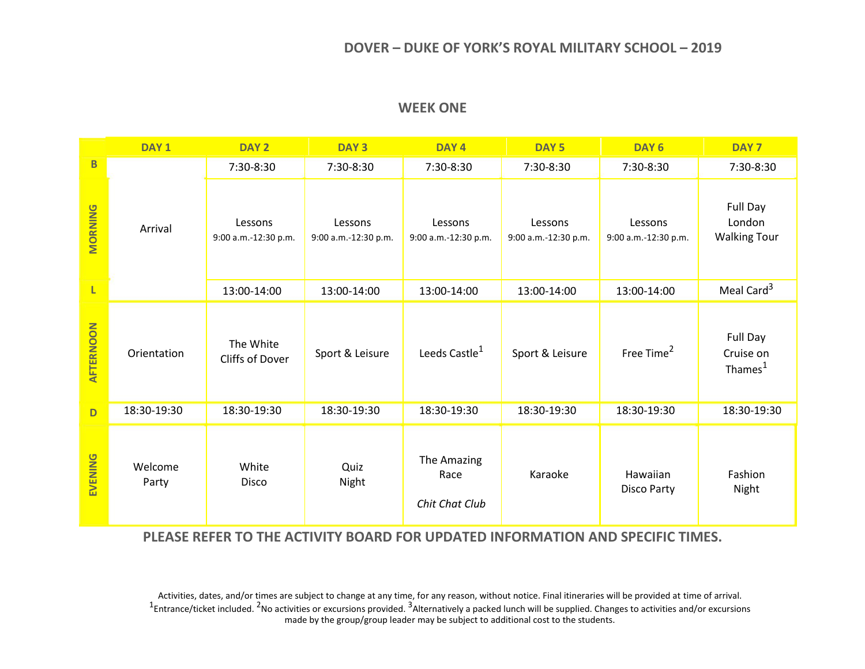## **DOVER – DUKE OF YORK'S ROYAL MILITARY SCHOOL – 2019**

|                | DAY <sub>1</sub> | DAY <sub>2</sub>                | DAY <sub>3</sub>                | DAY <sub>4</sub>                      | DAY <sub>5</sub>                | DAY <sub>6</sub>                | DAY <sub>7</sub>                             |
|----------------|------------------|---------------------------------|---------------------------------|---------------------------------------|---------------------------------|---------------------------------|----------------------------------------------|
| B              |                  | 7:30-8:30                       | 7:30-8:30                       | 7:30-8:30                             | 7:30-8:30                       | 7:30-8:30                       | 7:30-8:30                                    |
| <b>MORNING</b> | Arrival          | Lessons<br>9:00 a.m.-12:30 p.m. | Lessons<br>9:00 a.m.-12:30 p.m. | Lessons<br>9:00 a.m.-12:30 p.m.       | Lessons<br>9:00 a.m.-12:30 p.m. | Lessons<br>9:00 a.m.-12:30 p.m. | Full Day<br>London<br><b>Walking Tour</b>    |
| L              |                  | 13:00-14:00                     | 13:00-14:00                     | 13:00-14:00                           | 13:00-14:00                     | 13:00-14:00                     | Meal Card <sup>3</sup>                       |
| AFTERNOON      | Orientation      | The White<br>Cliffs of Dover    | Sport & Leisure                 | Leeds Castle <sup>1</sup>             | Sport & Leisure                 | Free Time <sup>2</sup>          | Full Day<br>Cruise on<br>Thames <sup>1</sup> |
| D              | 18:30-19:30      | 18:30-19:30                     | 18:30-19:30                     | 18:30-19:30                           | 18:30-19:30                     | 18:30-19:30                     | 18:30-19:30                                  |
| EVENING        | Welcome<br>Party | White<br><b>Disco</b>           | Quiz<br>Night                   | The Amazing<br>Race<br>Chit Chat Club | Karaoke                         | Hawaiian<br>Disco Party         | Fashion<br>Night                             |

## **WEEK ONE**

**PLEASE REFER TO THE ACTIVITY BOARD FOR UPDATED INFORMATION AND SPECIFIC TIMES.**

Activities, dates, and/or times are subject to change at any time, for any reason, without notice. Final itineraries will be provided at time of arrival.<br><sup>1</sup>Entrance/ticket included. <sup>2</sup>No activities or excursions provided made by the group/group leader may be subject to additional cost to the students.